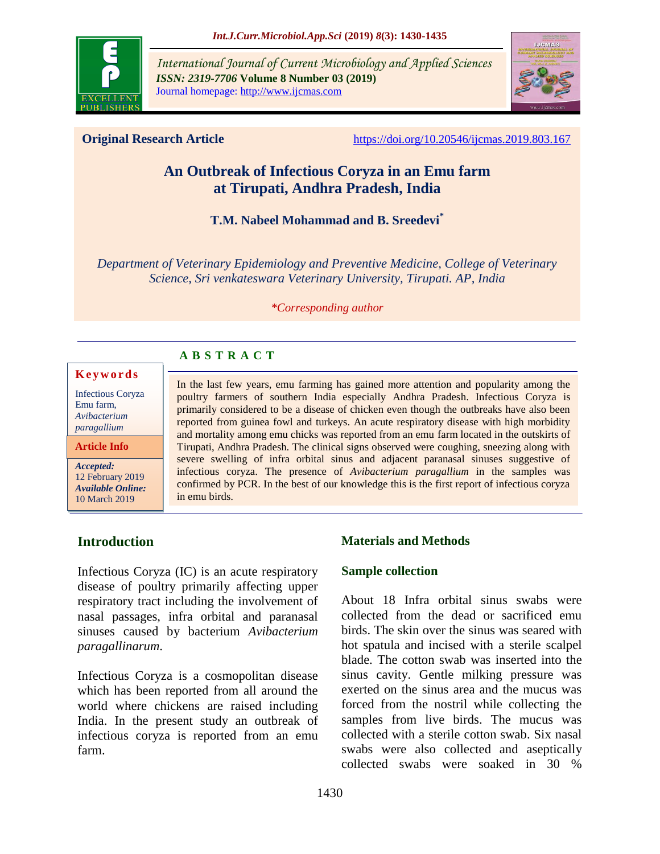

*International Journal of Current Microbiology and Applied Sciences ISSN: 2319-7706* **Volume 8 Number 03 (2019)**  Journal homepage: http://www.ijcmas.com



**Original Research Article** <https://doi.org/10.20546/ijcmas.2019.803.167>

# **An Outbreak of Infectious Coryza in an Emu farm at Tirupati, Andhra Pradesh, India**

#### **T.M. Nabeel Mohammad and B. Sreedevi\***

*Department of Veterinary Epidemiology and Preventive Medicine, College of Veterinary Science, Sri venkateswara Veterinary University, Tirupati. AP, India*

#### *\*Corresponding author*

# **A B S T R A C T**

#### **K e y w o r d s**

Infectious Coryza Emu farm, *Avibacterium paragallium*

**Article Info**

*Accepted:*  12 February 2019 *Available Online:* 10 March 2019

In the last few years, emu farming has gained more attention and popularity among the poultry farmers of southern India especially Andhra Pradesh. Infectious Coryza is primarily considered to be a disease of chicken even though the outbreaks have also been reported from guinea fowl and turkeys. An acute respiratory disease with high morbidity and mortality among emu chicks was reported from an emu farm located in the outskirts of Tirupati, Andhra Pradesh. The clinical signs observed were coughing, sneezing along with severe swelling of infra orbital sinus and adjacent paranasal sinuses suggestive of infectious coryza. The presence of *Avibacterium paragallium* in the samples was confirmed by PCR. In the best of our knowledge this is the first report of infectious coryza in emu birds.

# **Introduction**

Infectious Coryza (IC) is an acute respiratory disease of poultry primarily affecting upper respiratory tract including the involvement of nasal passages, infra orbital and paranasal sinuses caused by bacterium *Avibacterium paragallinarum*.

Infectious Coryza is a cosmopolitan disease which has been reported from all around the world where chickens are raised including India. In the present study an outbreak of infectious coryza is reported from an emu farm.

#### **Materials and Methods**

#### **Sample collection**

About 18 Infra orbital sinus swabs were collected from the dead or sacrificed emu birds. The skin over the sinus was seared with hot spatula and incised with a sterile scalpel blade. The cotton swab was inserted into the sinus cavity. Gentle milking pressure was exerted on the sinus area and the mucus was forced from the nostril while collecting the samples from live birds. The mucus was collected with a sterile cotton swab. Six nasal swabs were also collected and aseptically collected swabs were soaked in 30 %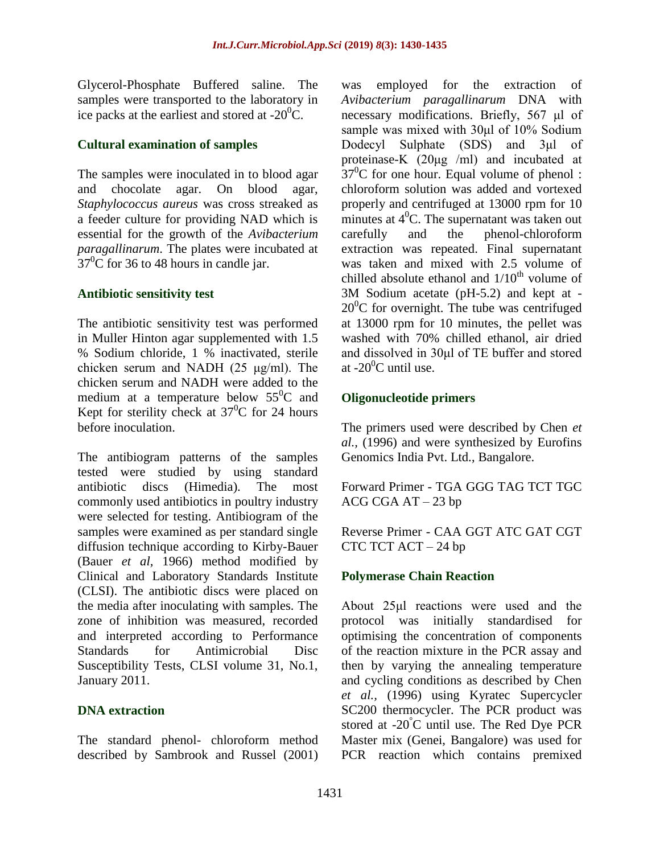Glycerol-Phosphate Buffered saline. The samples were transported to the laboratory in ice packs at the earliest and stored at  $-20^{\circ}$ C.

#### **Cultural examination of samples**

The samples were inoculated in to blood agar and chocolate agar. On blood agar, *Staphylococcus aureus* was cross streaked as a feeder culture for providing NAD which is essential for the growth of the *Avibacterium paragallinarum*. The plates were incubated at  $37^{\circ}$ C for 36 to 48 hours in candle jar.

### **Antibiotic sensitivity test**

The antibiotic sensitivity test was performed in Muller Hinton agar supplemented with 1.5 % Sodium chloride, 1 % inactivated, sterile chicken serum and NADH (25 μg/ml). The chicken serum and NADH were added to the medium at a temperature below  $55^{\circ}$ C and Kept for sterility check at  $37^0C$  for 24 hours before inoculation.

The antibiogram patterns of the samples tested were studied by using standard antibiotic discs (Himedia). The most commonly used antibiotics in poultry industry were selected for testing. Antibiogram of the samples were examined as per standard single diffusion technique according to Kirby-Bauer (Bauer *et al,* 1966) method modified by Clinical and Laboratory Standards Institute (CLSI). The antibiotic discs were placed on the media after inoculating with samples. The zone of inhibition was measured, recorded and interpreted according to Performance Standards for Antimicrobial Disc Susceptibility Tests, CLSI volume 31, No.1, January 2011.

# **DNA extraction**

The standard phenol- chloroform method described by Sambrook and Russel (2001) was employed for the extraction of *Avibacterium paragallinarum* DNA with necessary modifications. Briefly, 567 μl of sample was mixed with 30μl of 10% Sodium Dodecyl Sulphate (SDS) and 3μl of proteinase-K (20μg /ml) and incubated at  $37^{\circ}$ C for one hour. Equal volume of phenol : chloroform solution was added and vortexed properly and centrifuged at 13000 rpm for 10 minutes at  $4^0$ C. The supernatant was taken out carefully and the phenol-chloroform extraction was repeated. Final supernatant was taken and mixed with 2.5 volume of chilled absolute ethanol and  $1/10^{th}$  volume of 3M Sodium acetate (pH-5.2) and kept at -  $20^{\circ}$ C for overnight. The tube was centrifuged at 13000 rpm for 10 minutes, the pellet was washed with 70% chilled ethanol, air dried and dissolved in 30μl of TE buffer and stored at  $-20^0$ C until use.

# **Oligonucleotide primers**

The primers used were described by Chen *et al.,* (1996) and were synthesized by Eurofins Genomics India Pvt. Ltd., Bangalore.

Forward Primer - TGA GGG TAG TCT TGC ACG CGA AT – 23 bp

Reverse Primer - CAA GGT ATC GAT CGT CTC TCT ACT – 24 bp

# **Polymerase Chain Reaction**

About 25μl reactions were used and the protocol was initially standardised for optimising the concentration of components of the reaction mixture in the PCR assay and then by varying the annealing temperature and cycling conditions as described by Chen *et al.,* (1996) using Kyratec Supercycler SC200 thermocycler. The PCR product was stored at -20°C until use. The Red Dye PCR Master mix (Genei, Bangalore) was used for PCR reaction which contains premixed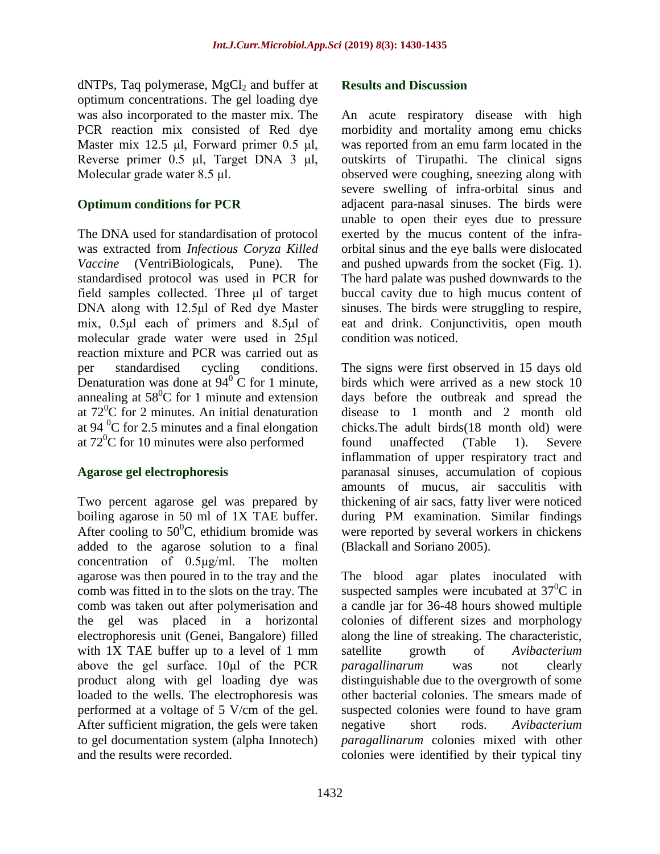$dNTPs$ , Taq polymerase,  $MgCl<sub>2</sub>$  and buffer at optimum concentrations. The gel loading dye was also incorporated to the master mix. The PCR reaction mix consisted of Red dye Master mix 12.5 μl, Forward primer 0.5 μl, Reverse primer 0.5 μl, Target DNA 3 μl, Molecular grade water 8.5 μl.

#### **Optimum conditions for PCR**

The DNA used for standardisation of protocol was extracted from *Infectious Coryza Killed Vaccine* (VentriBiologicals, Pune). The standardised protocol was used in PCR for field samples collected. Three μl of target DNA along with 12.5μl of Red dye Master mix, 0.5μl each of primers and 8.5μl of molecular grade water were used in 25μl reaction mixture and PCR was carried out as per standardised cycling conditions. Denaturation was done at  $94^{\circ}$ C for 1 minute, annealing at  $58^{\circ}$ C for 1 minute and extension at  $72^0$ C for 2 minutes. An initial denaturation at 94 $\mathrm{^{0}C}$  for 2.5 minutes and a final elongation at  $72^{\circ}$ C for 10 minutes were also performed

#### **Agarose gel electrophoresis**

Two percent agarose gel was prepared by boiling agarose in 50 ml of 1X TAE buffer. After cooling to  $50^0$ C, ethidium bromide was added to the agarose solution to a final concentration of 0.5μg/ml. The molten agarose was then poured in to the tray and the comb was fitted in to the slots on the tray. The comb was taken out after polymerisation and the gel was placed in a horizontal electrophoresis unit (Genei, Bangalore) filled with 1X TAE buffer up to a level of 1 mm above the gel surface. 10μl of the PCR product along with gel loading dye was loaded to the wells. The electrophoresis was performed at a voltage of 5 V/cm of the gel. After sufficient migration, the gels were taken to gel documentation system (alpha Innotech) and the results were recorded.

#### **Results and Discussion**

An acute respiratory disease with high morbidity and mortality among emu chicks was reported from an emu farm located in the outskirts of Tirupathi. The clinical signs observed were coughing, sneezing along with severe swelling of infra-orbital sinus and adjacent para-nasal sinuses. The birds were unable to open their eyes due to pressure exerted by the mucus content of the infraorbital sinus and the eye balls were dislocated and pushed upwards from the socket (Fig. 1). The hard palate was pushed downwards to the buccal cavity due to high mucus content of sinuses. The birds were struggling to respire, eat and drink. Conjunctivitis, open mouth condition was noticed.

The signs were first observed in 15 days old birds which were arrived as a new stock 10 days before the outbreak and spread the disease to 1 month and 2 month old chicks.The adult birds(18 month old) were found unaffected (Table 1). Severe inflammation of upper respiratory tract and paranasal sinuses, accumulation of copious amounts of mucus, air sacculitis with thickening of air sacs, fatty liver were noticed during PM examination. Similar findings were reported by several workers in chickens (Blackall and Soriano 2005).

The blood agar plates inoculated with suspected samples were incubated at  $37^{\circ}$ C in a candle jar for 36-48 hours showed multiple colonies of different sizes and morphology along the line of streaking. The characteristic, satellite growth of *Avibacterium paragallinarum* was not clearly distinguishable due to the overgrowth of some other bacterial colonies. The smears made of suspected colonies were found to have gram negative short rods. *Avibacterium paragallinarum* colonies mixed with other colonies were identified by their typical tiny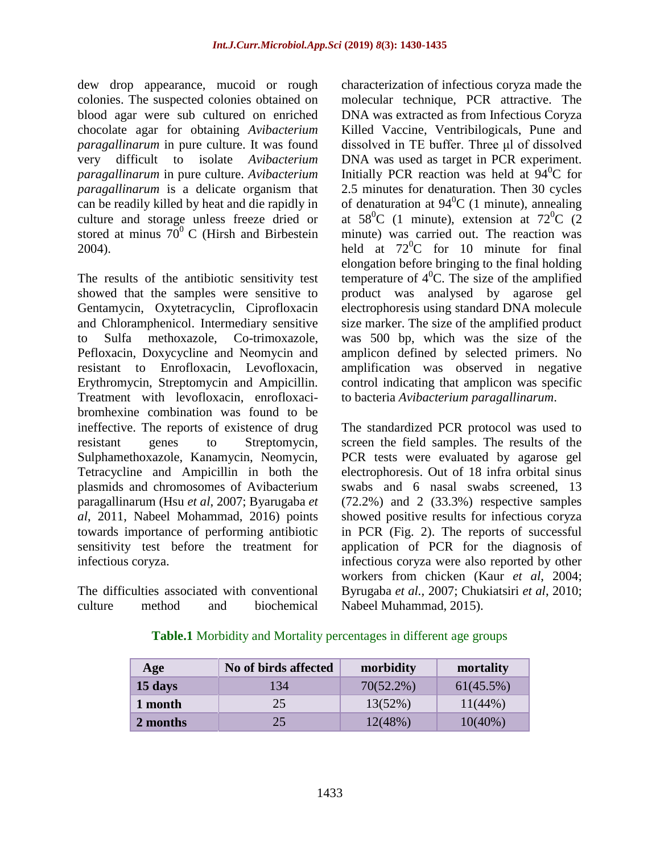dew drop appearance, mucoid or rough colonies. The suspected colonies obtained on blood agar were sub cultured on enriched chocolate agar for obtaining *Avibacterium paragallinarum* in pure culture. It was found very difficult to isolate *Avibacterium paragallinarum* in pure culture. *Avibacterium paragallinarum* is a delicate organism that can be readily killed by heat and die rapidly in culture and storage unless freeze dried or stored at minus  $70^{\circ}$  C (Hirsh and Birbestein 2004).

The results of the antibiotic sensitivity test showed that the samples were sensitive to Gentamycin, Oxytetracyclin, Ciprofloxacin and Chloramphenicol. Intermediary sensitive to Sulfa methoxazole, Co-trimoxazole, Pefloxacin, Doxycycline and Neomycin and resistant to Enrofloxacin, Levofloxacin, Erythromycin, Streptomycin and Ampicillin. Treatment with levofloxacin, enrofloxacibromhexine combination was found to be ineffective. The reports of existence of drug resistant genes to Streptomycin, Sulphamethoxazole, Kanamycin, Neomycin, Tetracycline and Ampicillin in both the plasmids and chromosomes of Avibacterium paragallinarum (Hsu *et al*, 2007; Byarugaba *et al*, 2011, Nabeel Mohammad, 2016) points towards importance of performing antibiotic sensitivity test before the treatment for infectious coryza.

The difficulties associated with conventional culture method and biochemical characterization of infectious coryza made the molecular technique, PCR attractive. The DNA was extracted as from Infectious Coryza Killed Vaccine, Ventribilogicals, Pune and dissolved in TE buffer. Three μl of dissolved DNA was used as target in PCR experiment. Initially PCR reaction was held at  $94^{\circ}$ C for 2.5 minutes for denaturation. Then 30 cycles of denaturation at  $94^{\circ}$ C (1 minute), annealing at  $58^{\circ}$ C (1 minute), extension at  $72^{\circ}$ C (2) minute) was carried out. The reaction was held at  $72^{\circ}$ C for 10 minute for final elongation before bringing to the final holding temperature of  $4^{\circ}$ C. The size of the amplified product was analysed by agarose gel electrophoresis using standard DNA molecule size marker. The size of the amplified product was 500 bp, which was the size of the amplicon defined by selected primers. No amplification was observed in negative control indicating that amplicon was specific to bacteria *Avibacterium paragallinarum*.

The standardized PCR protocol was used to screen the field samples. The results of the PCR tests were evaluated by agarose gel electrophoresis. Out of 18 infra orbital sinus swabs and 6 nasal swabs screened, 13 (72.2%) and 2 (33.3%) respective samples showed positive results for infectious coryza in PCR (Fig. 2). The reports of successful application of PCR for the diagnosis of infectious coryza were also reported by other workers from chicken (Kaur *et al*, 2004; Byrugaba *et al.,* 2007; Chukiatsiri *et al*, 2010; Nabeel Muhammad, 2015).

| Age      | No of birds affected | morbidity | mortality    |
|----------|----------------------|-----------|--------------|
| 15 days  | 134                  | 70(52.2%) | $61(45.5\%)$ |
| 1 month  | 25                   | 13(52%)   | $11(44\%)$   |
| 2 months | 25                   | 12(48%)   | $10(40\%)$   |

**Table.1** Morbidity and Mortality percentages in different age groups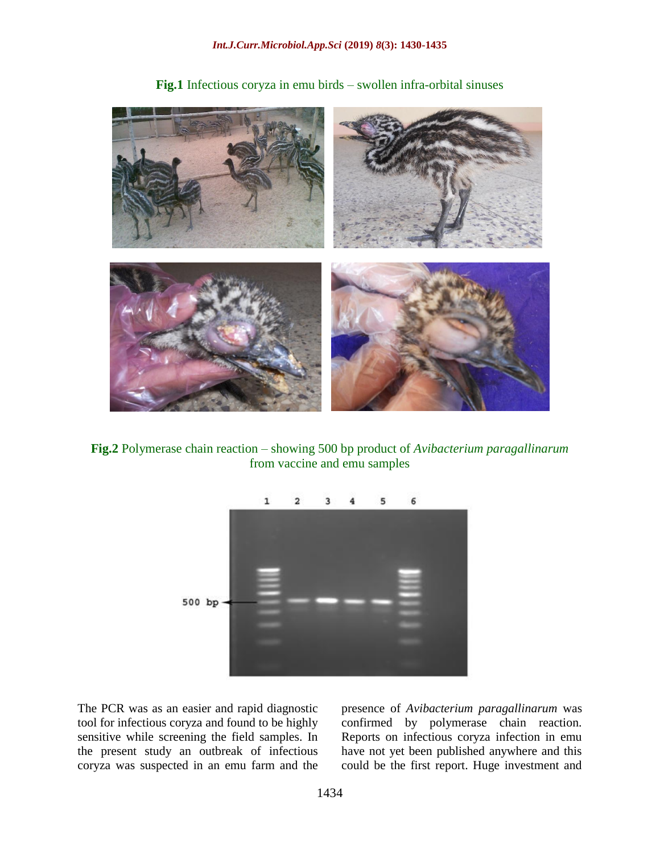

**Fig.1** Infectious coryza in emu birds – swollen infra-orbital sinuses

**Fig.2** Polymerase chain reaction – showing 500 bp product of *Avibacterium paragallinarum* from vaccine and emu samples



The PCR was as an easier and rapid diagnostic tool for infectious coryza and found to be highly sensitive while screening the field samples. In the present study an outbreak of infectious coryza was suspected in an emu farm and the presence of *Avibacterium paragallinarum* was confirmed by polymerase chain reaction. Reports on infectious coryza infection in emu have not yet been published anywhere and this could be the first report. Huge investment and